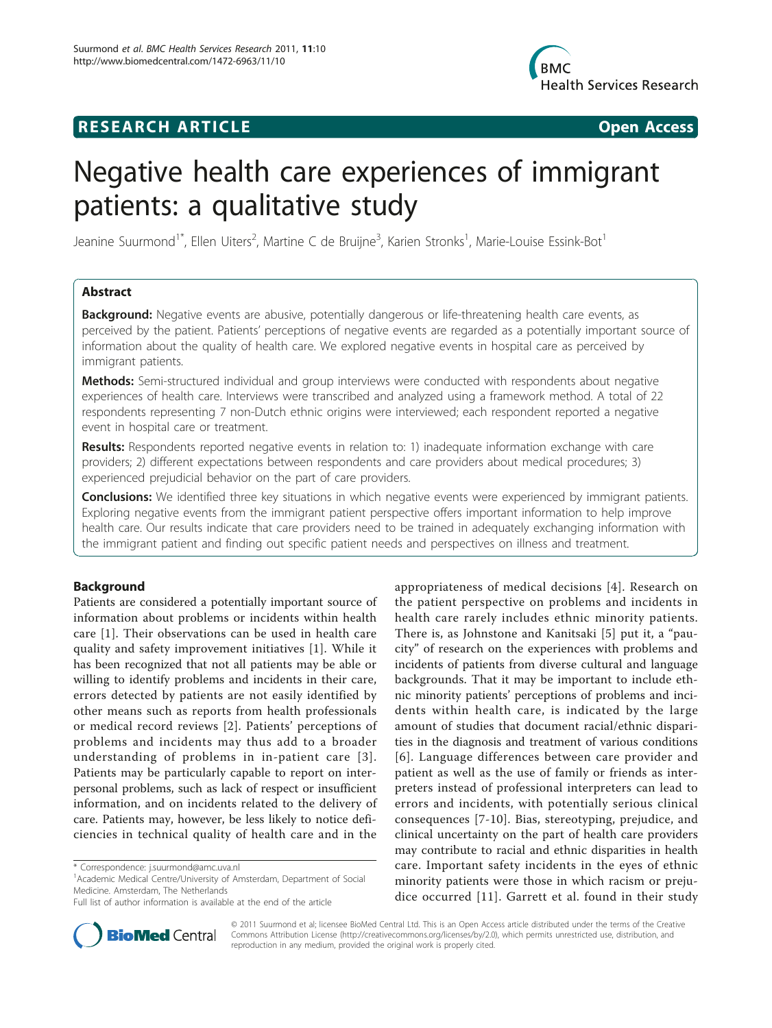## **RESEARCH ARTICLE CONSUMING ACCESS**



# Negative health care experiences of immigrant patients: a qualitative study

Jeanine Suurmond<sup>1\*</sup>, Ellen Uiters<sup>2</sup>, Martine C de Bruijne<sup>3</sup>, Karien Stronks<sup>1</sup>, Marie-Louise Essink-Bot<sup>1</sup>

## Abstract

**Background:** Negative events are abusive, potentially dangerous or life-threatening health care events, as perceived by the patient. Patients' perceptions of negative events are regarded as a potentially important source of information about the quality of health care. We explored negative events in hospital care as perceived by immigrant patients.

Methods: Semi-structured individual and group interviews were conducted with respondents about negative experiences of health care. Interviews were transcribed and analyzed using a framework method. A total of 22 respondents representing 7 non-Dutch ethnic origins were interviewed; each respondent reported a negative event in hospital care or treatment.

Results: Respondents reported negative events in relation to: 1) inadequate information exchange with care providers; 2) different expectations between respondents and care providers about medical procedures; 3) experienced prejudicial behavior on the part of care providers.

**Conclusions:** We identified three key situations in which negative events were experienced by immigrant patients. Exploring negative events from the immigrant patient perspective offers important information to help improve health care. Our results indicate that care providers need to be trained in adequately exchanging information with the immigrant patient and finding out specific patient needs and perspectives on illness and treatment.

## Background

Patients are considered a potentially important source of information about problems or incidents within health care [[1](#page-7-0)]. Their observations can be used in health care quality and safety improvement initiatives [[1\]](#page-7-0). While it has been recognized that not all patients may be able or willing to identify problems and incidents in their care, errors detected by patients are not easily identified by other means such as reports from health professionals or medical record reviews [\[2\]](#page-7-0). Patients' perceptions of problems and incidents may thus add to a broader understanding of problems in in-patient care [[3\]](#page-7-0). Patients may be particularly capable to report on interpersonal problems, such as lack of respect or insufficient information, and on incidents related to the delivery of care. Patients may, however, be less likely to notice deficiencies in technical quality of health care and in the

<sup>1</sup> Academic Medical Centre/University of Amsterdam, Department of Social Medicine. Amsterdam, The Netherlands

Full list of author information is available at the end of the article





© 2011 Suurmond et al; licensee BioMed Central Ltd. This is an Open Access article distributed under the terms of the Creative Commons Attribution License [\(http://creativecommons.org/licenses/by/2.0](http://creativecommons.org/licenses/by/2.0)), which permits unrestricted use, distribution, and reproduction in any medium, provided the original work is properly cited.

<sup>\*</sup> Correspondence: [j.suurmond@amc.uva.nl](mailto:j.suurmond@amc.uva.nl)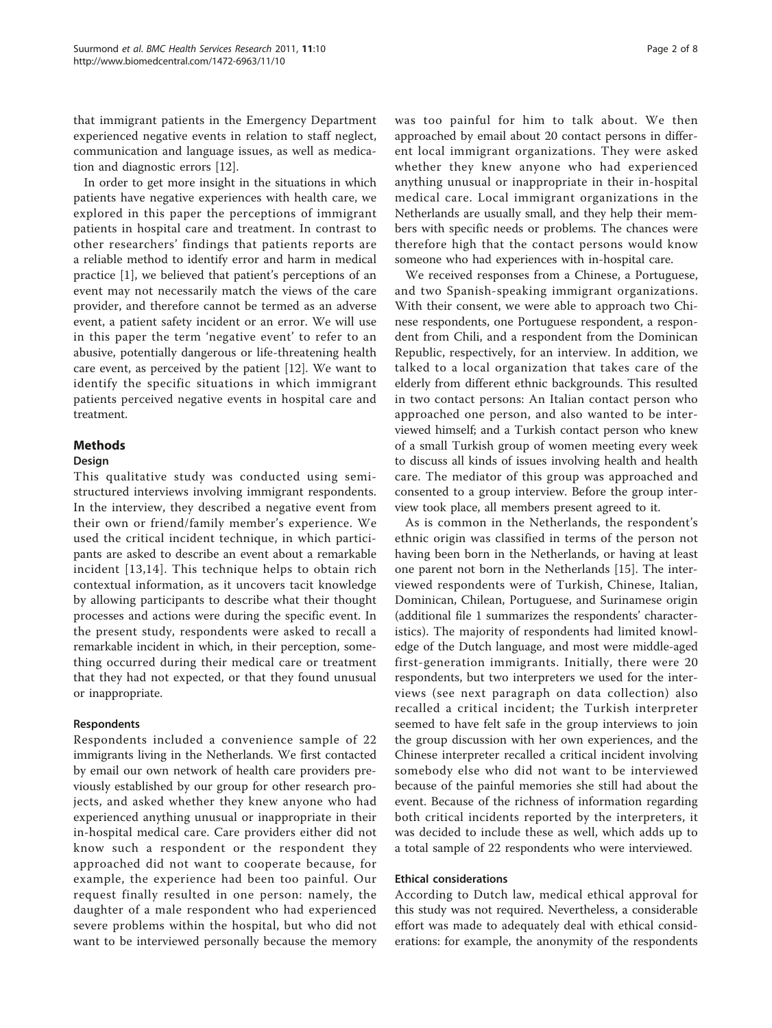that immigrant patients in the Emergency Department experienced negative events in relation to staff neglect, communication and language issues, as well as medication and diagnostic errors [\[12](#page-7-0)].

In order to get more insight in the situations in which patients have negative experiences with health care, we explored in this paper the perceptions of immigrant patients in hospital care and treatment. In contrast to other researchers' findings that patients reports are a reliable method to identify error and harm in medical practice [[1\]](#page-7-0), we believed that patient's perceptions of an event may not necessarily match the views of the care provider, and therefore cannot be termed as an adverse event, a patient safety incident or an error. We will use in this paper the term 'negative event' to refer to an abusive, potentially dangerous or life-threatening health care event, as perceived by the patient [[12\]](#page-7-0). We want to identify the specific situations in which immigrant patients perceived negative events in hospital care and treatment.

#### Methods

## Design

This qualitative study was conducted using semistructured interviews involving immigrant respondents. In the interview, they described a negative event from their own or friend/family member's experience. We used the critical incident technique, in which participants are asked to describe an event about a remarkable incident [[13](#page-7-0),[14](#page-7-0)]. This technique helps to obtain rich contextual information, as it uncovers tacit knowledge by allowing participants to describe what their thought processes and actions were during the specific event. In the present study, respondents were asked to recall a remarkable incident in which, in their perception, something occurred during their medical care or treatment that they had not expected, or that they found unusual or inappropriate.

#### Respondents

Respondents included a convenience sample of 22 immigrants living in the Netherlands. We first contacted by email our own network of health care providers previously established by our group for other research projects, and asked whether they knew anyone who had experienced anything unusual or inappropriate in their in-hospital medical care. Care providers either did not know such a respondent or the respondent they approached did not want to cooperate because, for example, the experience had been too painful. Our request finally resulted in one person: namely, the daughter of a male respondent who had experienced severe problems within the hospital, but who did not want to be interviewed personally because the memory

was too painful for him to talk about. We then approached by email about 20 contact persons in different local immigrant organizations. They were asked whether they knew anyone who had experienced anything unusual or inappropriate in their in-hospital medical care. Local immigrant organizations in the Netherlands are usually small, and they help their members with specific needs or problems. The chances were therefore high that the contact persons would know someone who had experiences with in-hospital care.

We received responses from a Chinese, a Portuguese, and two Spanish-speaking immigrant organizations. With their consent, we were able to approach two Chinese respondents, one Portuguese respondent, a respondent from Chili, and a respondent from the Dominican Republic, respectively, for an interview. In addition, we talked to a local organization that takes care of the elderly from different ethnic backgrounds. This resulted in two contact persons: An Italian contact person who approached one person, and also wanted to be interviewed himself; and a Turkish contact person who knew of a small Turkish group of women meeting every week to discuss all kinds of issues involving health and health care. The mediator of this group was approached and consented to a group interview. Before the group interview took place, all members present agreed to it.

As is common in the Netherlands, the respondent's ethnic origin was classified in terms of the person not having been born in the Netherlands, or having at least one parent not born in the Netherlands [\[15](#page-7-0)]. The interviewed respondents were of Turkish, Chinese, Italian, Dominican, Chilean, Portuguese, and Surinamese origin (additional file [1](#page-6-0) summarizes the respondents' characteristics). The majority of respondents had limited knowledge of the Dutch language, and most were middle-aged first-generation immigrants. Initially, there were 20 respondents, but two interpreters we used for the interviews (see next paragraph on data collection) also recalled a critical incident; the Turkish interpreter seemed to have felt safe in the group interviews to join the group discussion with her own experiences, and the Chinese interpreter recalled a critical incident involving somebody else who did not want to be interviewed because of the painful memories she still had about the event. Because of the richness of information regarding both critical incidents reported by the interpreters, it was decided to include these as well, which adds up to a total sample of 22 respondents who were interviewed.

#### Ethical considerations

According to Dutch law, medical ethical approval for this study was not required. Nevertheless, a considerable effort was made to adequately deal with ethical considerations: for example, the anonymity of the respondents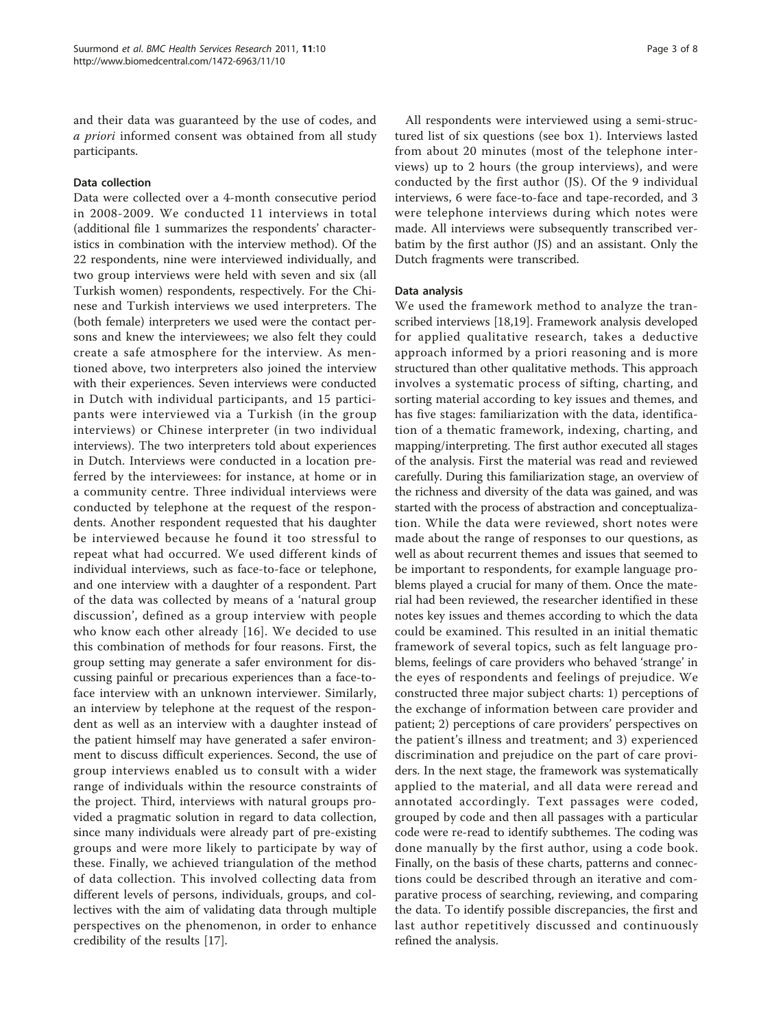and their data was guaranteed by the use of codes, and a priori informed consent was obtained from all study participants.

#### Data collection

Data were collected over a 4-month consecutive period in 2008-2009. We conducted 11 interviews in total (additional file [1](#page-6-0) summarizes the respondents' characteristics in combination with the interview method). Of the 22 respondents, nine were interviewed individually, and two group interviews were held with seven and six (all Turkish women) respondents, respectively. For the Chinese and Turkish interviews we used interpreters. The (both female) interpreters we used were the contact persons and knew the interviewees; we also felt they could create a safe atmosphere for the interview. As mentioned above, two interpreters also joined the interview with their experiences. Seven interviews were conducted in Dutch with individual participants, and 15 participants were interviewed via a Turkish (in the group interviews) or Chinese interpreter (in two individual interviews). The two interpreters told about experiences in Dutch. Interviews were conducted in a location preferred by the interviewees: for instance, at home or in a community centre. Three individual interviews were conducted by telephone at the request of the respondents. Another respondent requested that his daughter be interviewed because he found it too stressful to repeat what had occurred. We used different kinds of individual interviews, such as face-to-face or telephone, and one interview with a daughter of a respondent. Part of the data was collected by means of a 'natural group discussion', defined as a group interview with people who know each other already [[16\]](#page-7-0). We decided to use this combination of methods for four reasons. First, the group setting may generate a safer environment for discussing painful or precarious experiences than a face-toface interview with an unknown interviewer. Similarly, an interview by telephone at the request of the respondent as well as an interview with a daughter instead of the patient himself may have generated a safer environment to discuss difficult experiences. Second, the use of group interviews enabled us to consult with a wider range of individuals within the resource constraints of the project. Third, interviews with natural groups provided a pragmatic solution in regard to data collection, since many individuals were already part of pre-existing groups and were more likely to participate by way of these. Finally, we achieved triangulation of the method of data collection. This involved collecting data from different levels of persons, individuals, groups, and collectives with the aim of validating data through multiple perspectives on the phenomenon, in order to enhance credibility of the results [\[17](#page-7-0)].

All respondents were interviewed using a semi-structured list of six questions (see box 1). Interviews lasted from about 20 minutes (most of the telephone interviews) up to 2 hours (the group interviews), and were conducted by the first author (JS). Of the 9 individual interviews, 6 were face-to-face and tape-recorded, and 3 were telephone interviews during which notes were made. All interviews were subsequently transcribed verbatim by the first author (JS) and an assistant. Only the Dutch fragments were transcribed.

#### Data analysis

We used the framework method to analyze the transcribed interviews [\[18,19\]](#page-7-0). Framework analysis developed for applied qualitative research, takes a deductive approach informed by a priori reasoning and is more structured than other qualitative methods. This approach involves a systematic process of sifting, charting, and sorting material according to key issues and themes, and has five stages: familiarization with the data, identification of a thematic framework, indexing, charting, and mapping/interpreting. The first author executed all stages of the analysis. First the material was read and reviewed carefully. During this familiarization stage, an overview of the richness and diversity of the data was gained, and was started with the process of abstraction and conceptualization. While the data were reviewed, short notes were made about the range of responses to our questions, as well as about recurrent themes and issues that seemed to be important to respondents, for example language problems played a crucial for many of them. Once the material had been reviewed, the researcher identified in these notes key issues and themes according to which the data could be examined. This resulted in an initial thematic framework of several topics, such as felt language problems, feelings of care providers who behaved 'strange' in the eyes of respondents and feelings of prejudice. We constructed three major subject charts: 1) perceptions of the exchange of information between care provider and patient; 2) perceptions of care providers' perspectives on the patient's illness and treatment; and 3) experienced discrimination and prejudice on the part of care providers. In the next stage, the framework was systematically applied to the material, and all data were reread and annotated accordingly. Text passages were coded, grouped by code and then all passages with a particular code were re-read to identify subthemes. The coding was done manually by the first author, using a code book. Finally, on the basis of these charts, patterns and connections could be described through an iterative and comparative process of searching, reviewing, and comparing the data. To identify possible discrepancies, the first and last author repetitively discussed and continuously refined the analysis.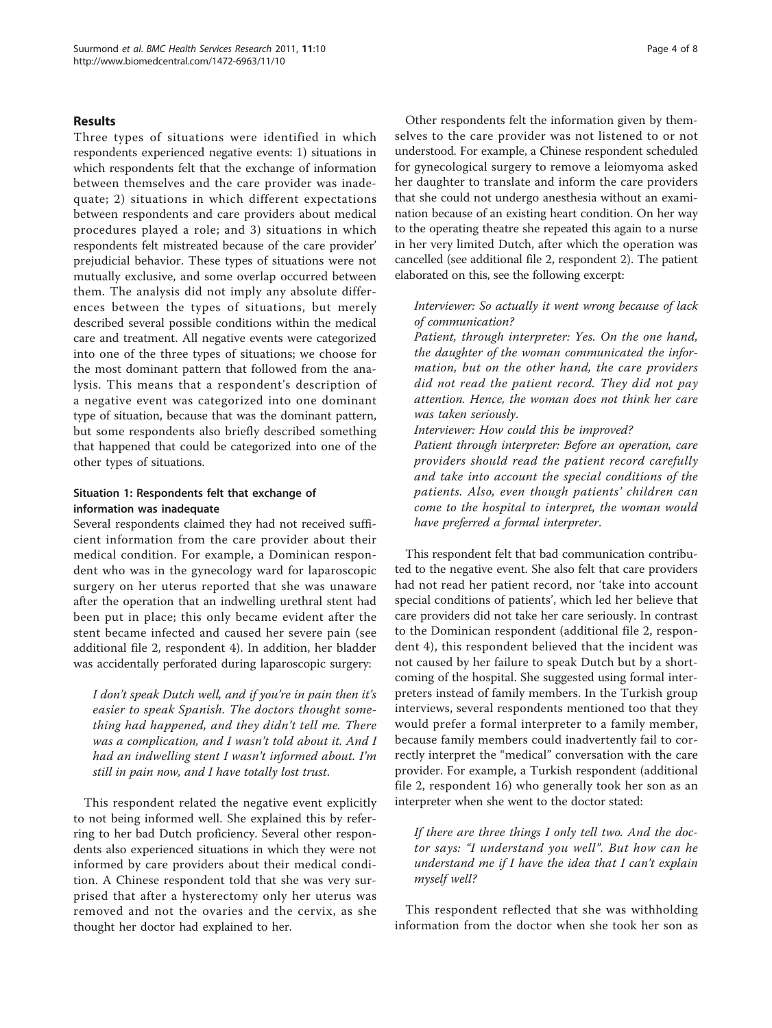#### Results

Three types of situations were identified in which respondents experienced negative events: 1) situations in which respondents felt that the exchange of information between themselves and the care provider was inadequate; 2) situations in which different expectations between respondents and care providers about medical procedures played a role; and 3) situations in which respondents felt mistreated because of the care provider' prejudicial behavior. These types of situations were not mutually exclusive, and some overlap occurred between them. The analysis did not imply any absolute differences between the types of situations, but merely described several possible conditions within the medical care and treatment. All negative events were categorized into one of the three types of situations; we choose for the most dominant pattern that followed from the analysis. This means that a respondent's description of a negative event was categorized into one dominant type of situation, because that was the dominant pattern, but some respondents also briefly described something that happened that could be categorized into one of the other types of situations.

#### Situation 1: Respondents felt that exchange of information was inadequate

Several respondents claimed they had not received sufficient information from the care provider about their medical condition. For example, a Dominican respondent who was in the gynecology ward for laparoscopic surgery on her uterus reported that she was unaware after the operation that an indwelling urethral stent had been put in place; this only became evident after the stent became infected and caused her severe pain (see additional file [2](#page-6-0), respondent 4). In addition, her bladder was accidentally perforated during laparoscopic surgery:

I don't speak Dutch well, and if you're in pain then it's easier to speak Spanish. The doctors thought something had happened, and they didn't tell me. There was a complication, and I wasn't told about it. And I had an indwelling stent I wasn't informed about. I'm still in pain now, and I have totally lost trust.

This respondent related the negative event explicitly to not being informed well. She explained this by referring to her bad Dutch proficiency. Several other respondents also experienced situations in which they were not informed by care providers about their medical condition. A Chinese respondent told that she was very surprised that after a hysterectomy only her uterus was removed and not the ovaries and the cervix, as she thought her doctor had explained to her.

Other respondents felt the information given by themselves to the care provider was not listened to or not understood. For example, a Chinese respondent scheduled for gynecological surgery to remove a leiomyoma asked her daughter to translate and inform the care providers that she could not undergo anesthesia without an examination because of an existing heart condition. On her way to the operating theatre she repeated this again to a nurse in her very limited Dutch, after which the operation was cancelled (see additional file [2,](#page-6-0) respondent 2). The patient elaborated on this, see the following excerpt:

## Interviewer: So actually it went wrong because of lack of communication?

Patient, through interpreter: Yes. On the one hand, the daughter of the woman communicated the information, but on the other hand, the care providers did not read the patient record. They did not pay attention. Hence, the woman does not think her care was taken seriously.

Interviewer: How could this be improved?

Patient through interpreter: Before an operation, care providers should read the patient record carefully and take into account the special conditions of the patients. Also, even though patients' children can come to the hospital to interpret, the woman would have preferred a formal interpreter.

This respondent felt that bad communication contributed to the negative event. She also felt that care providers had not read her patient record, nor 'take into account special conditions of patients', which led her believe that care providers did not take her care seriously. In contrast to the Dominican respondent (additional file [2](#page-6-0), respondent 4), this respondent believed that the incident was not caused by her failure to speak Dutch but by a shortcoming of the hospital. She suggested using formal interpreters instead of family members. In the Turkish group interviews, several respondents mentioned too that they would prefer a formal interpreter to a family member, because family members could inadvertently fail to correctly interpret the "medical" conversation with the care provider. For example, a Turkish respondent (additional file [2,](#page-6-0) respondent 16) who generally took her son as an interpreter when she went to the doctor stated:

If there are three things I only tell two. And the doctor says: "I understand you well". But how can he understand me if I have the idea that I can't explain myself well?

This respondent reflected that she was withholding information from the doctor when she took her son as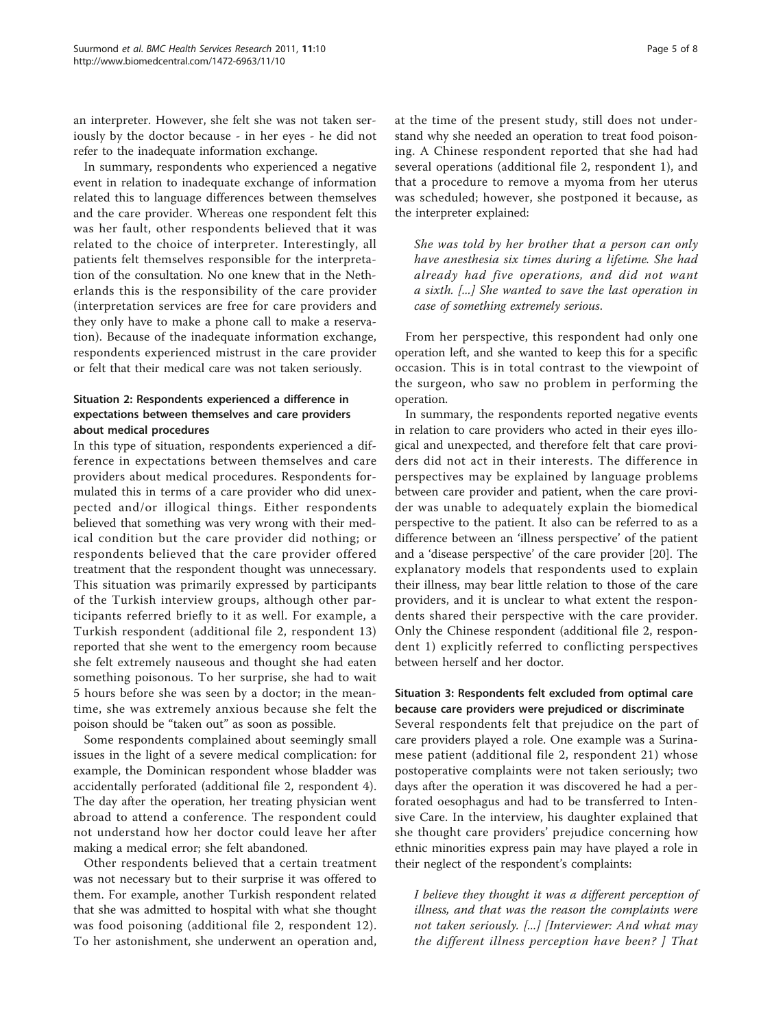an interpreter. However, she felt she was not taken seriously by the doctor because - in her eyes - he did not refer to the inadequate information exchange.

In summary, respondents who experienced a negative event in relation to inadequate exchange of information related this to language differences between themselves and the care provider. Whereas one respondent felt this was her fault, other respondents believed that it was related to the choice of interpreter. Interestingly, all patients felt themselves responsible for the interpretation of the consultation. No one knew that in the Netherlands this is the responsibility of the care provider (interpretation services are free for care providers and they only have to make a phone call to make a reservation). Because of the inadequate information exchange, respondents experienced mistrust in the care provider or felt that their medical care was not taken seriously.

## Situation 2: Respondents experienced a difference in expectations between themselves and care providers about medical procedures

In this type of situation, respondents experienced a difference in expectations between themselves and care providers about medical procedures. Respondents formulated this in terms of a care provider who did unexpected and/or illogical things. Either respondents believed that something was very wrong with their medical condition but the care provider did nothing; or respondents believed that the care provider offered treatment that the respondent thought was unnecessary. This situation was primarily expressed by participants of the Turkish interview groups, although other participants referred briefly to it as well. For example, a Turkish respondent (additional file [2,](#page-6-0) respondent 13) reported that she went to the emergency room because she felt extremely nauseous and thought she had eaten something poisonous. To her surprise, she had to wait 5 hours before she was seen by a doctor; in the meantime, she was extremely anxious because she felt the poison should be "taken out" as soon as possible.

Some respondents complained about seemingly small issues in the light of a severe medical complication: for example, the Dominican respondent whose bladder was accidentally perforated (additional file [2,](#page-6-0) respondent 4). The day after the operation, her treating physician went abroad to attend a conference. The respondent could not understand how her doctor could leave her after making a medical error; she felt abandoned.

Other respondents believed that a certain treatment was not necessary but to their surprise it was offered to them. For example, another Turkish respondent related that she was admitted to hospital with what she thought was food poisoning (additional file [2,](#page-6-0) respondent 12). To her astonishment, she underwent an operation and, at the time of the present study, still does not understand why she needed an operation to treat food poisoning. A Chinese respondent reported that she had had several operations (additional file [2](#page-6-0), respondent 1), and that a procedure to remove a myoma from her uterus was scheduled; however, she postponed it because, as the interpreter explained:

She was told by her brother that a person can only have anesthesia six times during a lifetime. She had already had five operations, and did not want a sixth. [...] She wanted to save the last operation in case of something extremely serious.

From her perspective, this respondent had only one operation left, and she wanted to keep this for a specific occasion. This is in total contrast to the viewpoint of the surgeon, who saw no problem in performing the operation.

In summary, the respondents reported negative events in relation to care providers who acted in their eyes illogical and unexpected, and therefore felt that care providers did not act in their interests. The difference in perspectives may be explained by language problems between care provider and patient, when the care provider was unable to adequately explain the biomedical perspective to the patient. It also can be referred to as a difference between an 'illness perspective' of the patient and a 'disease perspective' of the care provider [[20\]](#page-7-0). The explanatory models that respondents used to explain their illness, may bear little relation to those of the care providers, and it is unclear to what extent the respondents shared their perspective with the care provider. Only the Chinese respondent (additional file [2](#page-6-0), respondent 1) explicitly referred to conflicting perspectives between herself and her doctor.

## Situation 3: Respondents felt excluded from optimal care because care providers were prejudiced or discriminate

Several respondents felt that prejudice on the part of care providers played a role. One example was a Surinamese patient (additional file [2,](#page-6-0) respondent 21) whose postoperative complaints were not taken seriously; two days after the operation it was discovered he had a perforated oesophagus and had to be transferred to Intensive Care. In the interview, his daughter explained that she thought care providers' prejudice concerning how ethnic minorities express pain may have played a role in their neglect of the respondent's complaints:

I believe they thought it was a different perception of illness, and that was the reason the complaints were not taken seriously. [...] [Interviewer: And what may the different illness perception have been? ] That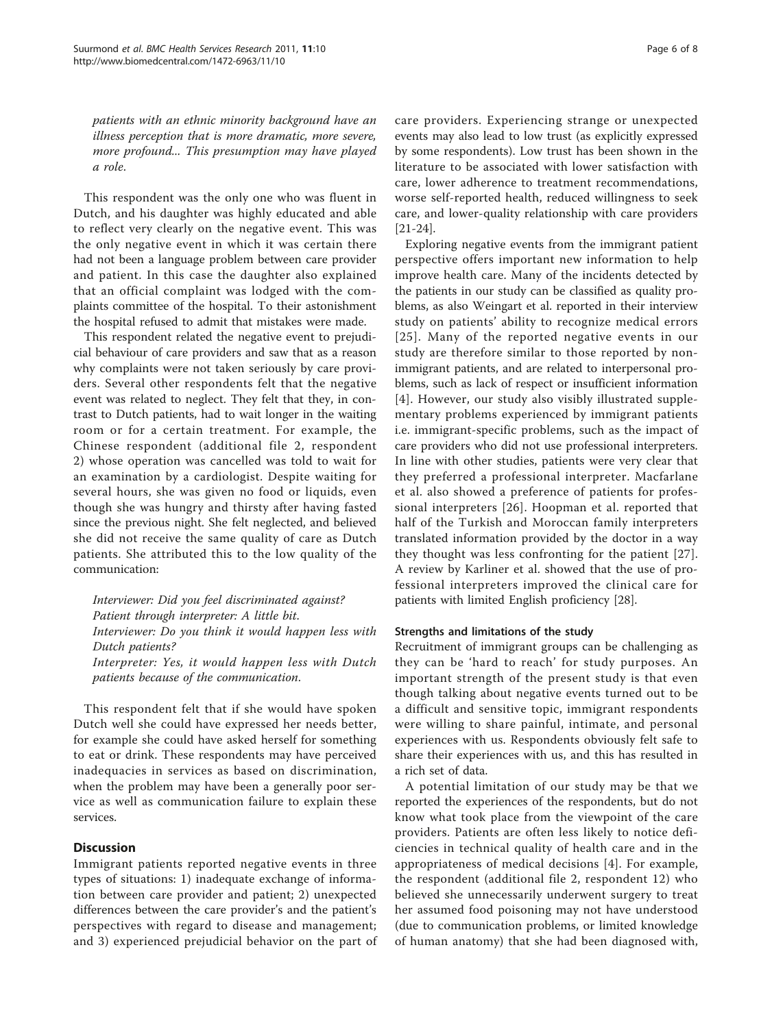patients with an ethnic minority background have an illness perception that is more dramatic, more severe, more profound... This presumption may have played a role.

This respondent was the only one who was fluent in Dutch, and his daughter was highly educated and able to reflect very clearly on the negative event. This was the only negative event in which it was certain there had not been a language problem between care provider and patient. In this case the daughter also explained that an official complaint was lodged with the complaints committee of the hospital. To their astonishment the hospital refused to admit that mistakes were made.

This respondent related the negative event to prejudicial behaviour of care providers and saw that as a reason why complaints were not taken seriously by care providers. Several other respondents felt that the negative event was related to neglect. They felt that they, in contrast to Dutch patients, had to wait longer in the waiting room or for a certain treatment. For example, the Chinese respondent (additional file [2,](#page-6-0) respondent 2) whose operation was cancelled was told to wait for an examination by a cardiologist. Despite waiting for several hours, she was given no food or liquids, even though she was hungry and thirsty after having fasted since the previous night. She felt neglected, and believed she did not receive the same quality of care as Dutch patients. She attributed this to the low quality of the communication:

Interviewer: Did you feel discriminated against? Patient through interpreter: A little bit. Interviewer: Do you think it would happen less with Dutch patients? Interpreter: Yes, it would happen less with Dutch patients because of the communication.

This respondent felt that if she would have spoken Dutch well she could have expressed her needs better, for example she could have asked herself for something to eat or drink. These respondents may have perceived inadequacies in services as based on discrimination, when the problem may have been a generally poor service as well as communication failure to explain these services.

## **Discussion**

Immigrant patients reported negative events in three types of situations: 1) inadequate exchange of information between care provider and patient; 2) unexpected differences between the care provider's and the patient's perspectives with regard to disease and management; and 3) experienced prejudicial behavior on the part of care providers. Experiencing strange or unexpected events may also lead to low trust (as explicitly expressed by some respondents). Low trust has been shown in the literature to be associated with lower satisfaction with care, lower adherence to treatment recommendations, worse self-reported health, reduced willingness to seek care, and lower-quality relationship with care providers [[21-24\]](#page-7-0).

Exploring negative events from the immigrant patient perspective offers important new information to help improve health care. Many of the incidents detected by the patients in our study can be classified as quality problems, as also Weingart et al. reported in their interview study on patients' ability to recognize medical errors [[25](#page-7-0)]. Many of the reported negative events in our study are therefore similar to those reported by nonimmigrant patients, and are related to interpersonal problems, such as lack of respect or insufficient information [[4](#page-7-0)]. However, our study also visibly illustrated supplementary problems experienced by immigrant patients i.e. immigrant-specific problems, such as the impact of care providers who did not use professional interpreters. In line with other studies, patients were very clear that they preferred a professional interpreter. Macfarlane et al. also showed a preference of patients for professional interpreters [[26](#page-7-0)]. Hoopman et al. reported that half of the Turkish and Moroccan family interpreters translated information provided by the doctor in a way they thought was less confronting for the patient [[27](#page-7-0)]. A review by Karliner et al. showed that the use of professional interpreters improved the clinical care for patients with limited English proficiency [[28\]](#page-7-0).

#### Strengths and limitations of the study

Recruitment of immigrant groups can be challenging as they can be 'hard to reach' for study purposes. An important strength of the present study is that even though talking about negative events turned out to be a difficult and sensitive topic, immigrant respondents were willing to share painful, intimate, and personal experiences with us. Respondents obviously felt safe to share their experiences with us, and this has resulted in a rich set of data.

A potential limitation of our study may be that we reported the experiences of the respondents, but do not know what took place from the viewpoint of the care providers. Patients are often less likely to notice deficiencies in technical quality of health care and in the appropriateness of medical decisions [\[4](#page-7-0)]. For example, the respondent (additional file [2,](#page-6-0) respondent 12) who believed she unnecessarily underwent surgery to treat her assumed food poisoning may not have understood (due to communication problems, or limited knowledge of human anatomy) that she had been diagnosed with,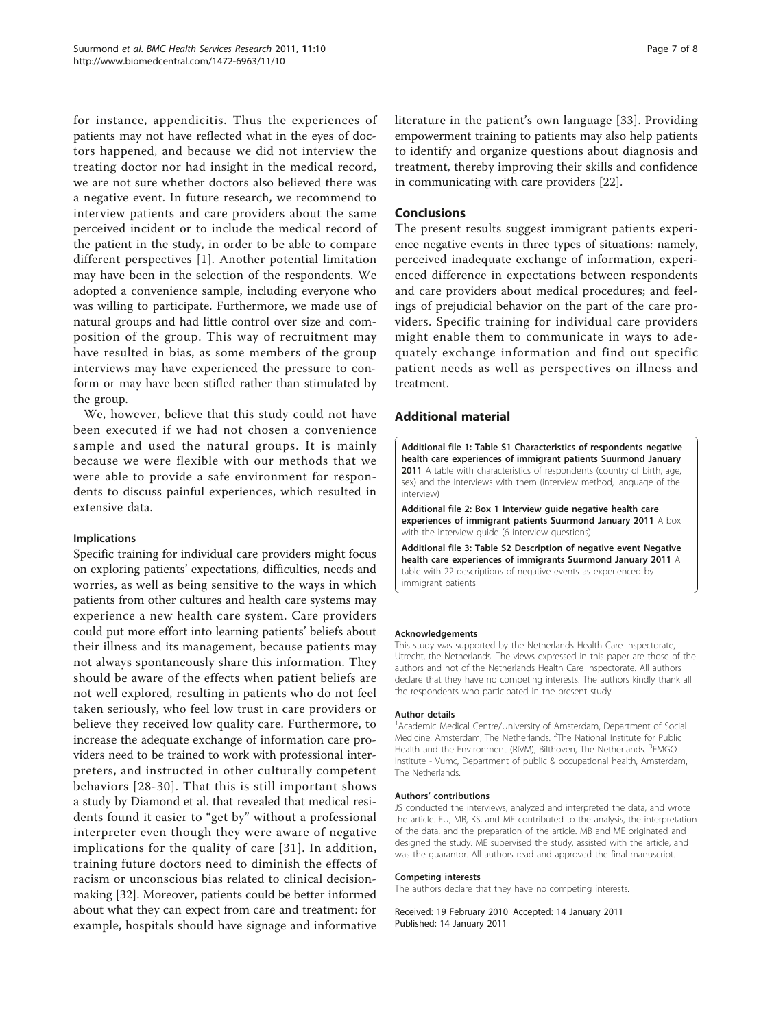<span id="page-6-0"></span>for instance, appendicitis. Thus the experiences of patients may not have reflected what in the eyes of doctors happened, and because we did not interview the treating doctor nor had insight in the medical record, we are not sure whether doctors also believed there was a negative event. In future research, we recommend to interview patients and care providers about the same perceived incident or to include the medical record of the patient in the study, in order to be able to compare different perspectives [[1](#page-7-0)]. Another potential limitation may have been in the selection of the respondents. We adopted a convenience sample, including everyone who was willing to participate. Furthermore, we made use of natural groups and had little control over size and composition of the group. This way of recruitment may have resulted in bias, as some members of the group interviews may have experienced the pressure to conform or may have been stifled rather than stimulated by the group.

We, however, believe that this study could not have been executed if we had not chosen a convenience sample and used the natural groups. It is mainly because we were flexible with our methods that we were able to provide a safe environment for respondents to discuss painful experiences, which resulted in extensive data.

#### Implications

Specific training for individual care providers might focus on exploring patients' expectations, difficulties, needs and worries, as well as being sensitive to the ways in which patients from other cultures and health care systems may experience a new health care system. Care providers could put more effort into learning patients' beliefs about their illness and its management, because patients may not always spontaneously share this information. They should be aware of the effects when patient beliefs are not well explored, resulting in patients who do not feel taken seriously, who feel low trust in care providers or believe they received low quality care. Furthermore, to increase the adequate exchange of information care providers need to be trained to work with professional interpreters, and instructed in other culturally competent behaviors [[28](#page-7-0)-[30\]](#page-7-0). That this is still important shows a study by Diamond et al. that revealed that medical residents found it easier to "get by" without a professional interpreter even though they were aware of negative implications for the quality of care [[31](#page-7-0)]. In addition, training future doctors need to diminish the effects of racism or unconscious bias related to clinical decisionmaking [[32](#page-7-0)]. Moreover, patients could be better informed about what they can expect from care and treatment: for example, hospitals should have signage and informative

literature in the patient's own language [[33\]](#page-7-0). Providing empowerment training to patients may also help patients to identify and organize questions about diagnosis and treatment, thereby improving their skills and confidence in communicating with care providers [\[22](#page-7-0)].

## Conclusions

The present results suggest immigrant patients experience negative events in three types of situations: namely, perceived inadequate exchange of information, experienced difference in expectations between respondents and care providers about medical procedures; and feelings of prejudicial behavior on the part of the care providers. Specific training for individual care providers might enable them to communicate in ways to adequately exchange information and find out specific patient needs as well as perspectives on illness and treatment.

## Additional material

[Additional file 1: T](http://www.biomedcentral.com/content/supplementary/1472-6963-11-10-S1.DOC)able S1 Characteristics of respondents negative health care experiences of immigrant patients Suurmond January 2011 A table with characteristics of respondents (country of birth, age, sex) and the interviews with them (interview method, language of the interview)

[Additional file 2: B](http://www.biomedcentral.com/content/supplementary/1472-6963-11-10-S2.DOC)ox 1 Interview guide negative health care experiences of immigrant patients Suurmond January 2011 A box with the interview guide (6 interview questions)

[Additional file 3: T](http://www.biomedcentral.com/content/supplementary/1472-6963-11-10-S3.DOC)able S2 Description of negative event Negative health care experiences of immigrants Suurmond January 2011 A table with 22 descriptions of negative events as experienced by immigrant patients

#### Acknowledgements

This study was supported by the Netherlands Health Care Inspectorate, Utrecht, the Netherlands. The views expressed in this paper are those of the authors and not of the Netherlands Health Care Inspectorate. All authors declare that they have no competing interests. The authors kindly thank all the respondents who participated in the present study.

#### Author details

<sup>1</sup> Academic Medical Centre/University of Amsterdam, Department of Social Medicine. Amsterdam, The Netherlands. <sup>2</sup>The National Institute for Public Health and the Environment (RIVM), Bilthoven, The Netherlands. <sup>3</sup>EMGC Institute - Vumc, Department of public & occupational health, Amsterdam, The Netherlands.

#### Authors' contributions

JS conducted the interviews, analyzed and interpreted the data, and wrote the article. EU, MB, KS, and ME contributed to the analysis, the interpretation of the data, and the preparation of the article. MB and ME originated and designed the study. ME supervised the study, assisted with the article, and was the guarantor. All authors read and approved the final manuscript.

#### Competing interests

The authors declare that they have no competing interests.

Received: 19 February 2010 Accepted: 14 January 2011 Published: 14 January 2011